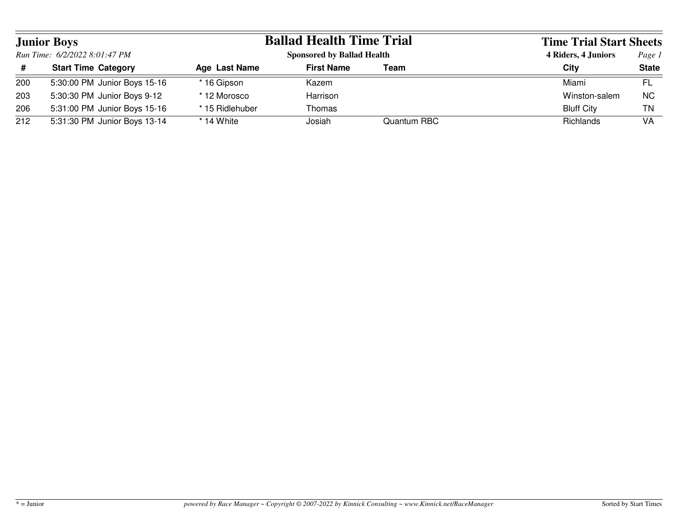| <b>Junior Boys</b><br>Run Time: 6/2/2022 8:01:47 PM |                              | <b>Ballad Health Time Trial</b> |                                   | <b>Time Trial Start Sheets</b> |                   |              |
|-----------------------------------------------------|------------------------------|---------------------------------|-----------------------------------|--------------------------------|-------------------|--------------|
|                                                     |                              |                                 | <b>Sponsored by Ballad Health</b> |                                |                   | Page 1       |
| #                                                   | <b>Start Time Category</b>   | Age Last Name                   | <b>First Name</b>                 | Team                           | City              | <b>State</b> |
| 200                                                 | 5:30:00 PM Junior Boys 15-16 | * 16 Gipson                     | Kazem                             |                                | Miami             | FL           |
| 203                                                 | 5:30:30 PM Junior Boys 9-12  | * 12 Morosco                    | Harrison                          |                                | Winston-salem     | NC.          |
| 206                                                 | 5:31:00 PM Junior Boys 15-16 | * 15 Ridlehuber                 | Thomas                            |                                | <b>Bluff City</b> | ΤN           |
| 212                                                 | 5:31:30 PM Junior Boys 13-14 | * 14 White                      | Josiah                            | Quantum RBC                    | Richlands         | VA           |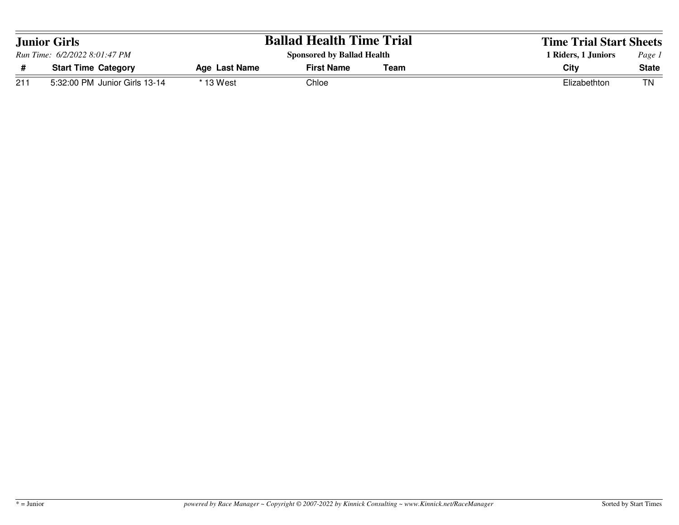| <b>Junior Girls</b><br>Run Time: 6/2/2022 8:01:47 PM |                               |               | <b>Ballad Health Time Trial</b>   |                     | <b>Time Trial Start Sheets</b> |              |
|------------------------------------------------------|-------------------------------|---------------|-----------------------------------|---------------------|--------------------------------|--------------|
|                                                      |                               |               | <b>Sponsored by Ballad Health</b> | 1 Riders, 1 Juniors | Page 1                         |              |
|                                                      | <b>Start Time Category</b>    | Age Last Name | <b>First Name</b>                 | Team                | City                           | <b>State</b> |
| 211                                                  | 5:32:00 PM Junior Girls 13-14 | * 13 West     | Chloe                             |                     | Elizabethton                   | ΤN           |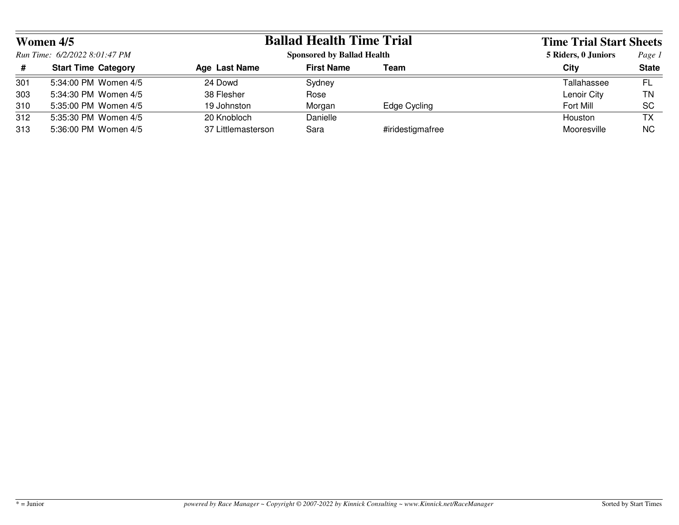| Women 4/5<br>Run Time: 6/2/2022 8:01:47 PM |                            | <b>Ballad Health Time Trial</b>   |                   | <b>Time Trial Start Sheets</b> |                     |              |
|--------------------------------------------|----------------------------|-----------------------------------|-------------------|--------------------------------|---------------------|--------------|
|                                            |                            | <b>Sponsored by Ballad Health</b> |                   |                                | 5 Riders, 0 Juniors | Page 1       |
| #                                          | <b>Start Time Category</b> | Age Last Name                     | <b>First Name</b> | Team                           | City                | <b>State</b> |
| 301                                        | 5:34:00 PM Women 4/5       | 24 Dowd                           | Sydney            |                                | Tallahassee         | FL           |
| 303                                        | 5:34:30 PM Women 4/5       | 38 Flesher                        | Rose              |                                | Lenoir City         | ΤN           |
| 310                                        | 5:35:00 PM Women 4/5       | 19 Johnston                       | Morgan            | Edge Cycling                   | Fort Mill           | <b>SC</b>    |
| 312                                        | 5:35:30 PM Women 4/5       | 20 Knobloch                       | Danielle          |                                | Houston             | ТX           |
| 313                                        | 5:36:00 PM Women 4/5       | 37 Littlemasterson                | Sara              | #iridestigmafree               | Mooresville         | ΝC           |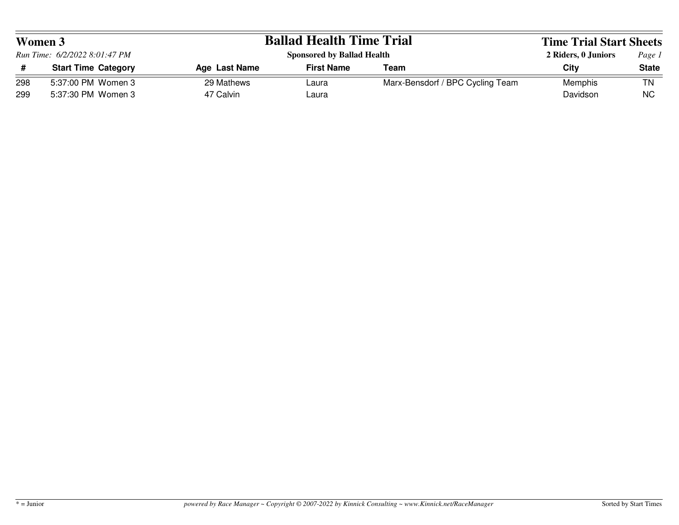| Women 3<br>Run Time: 6/2/2022 8:01:47 PM |                            | <b>Ballad Health Time Trial</b>   | <b>Time Trial Start Sheets</b> |                                  |                     |              |
|------------------------------------------|----------------------------|-----------------------------------|--------------------------------|----------------------------------|---------------------|--------------|
|                                          |                            | <b>Sponsored by Ballad Health</b> |                                |                                  | 2 Riders, 0 Juniors | Page 1       |
|                                          | <b>Start Time Category</b> | Age Last Name                     | <b>First Name</b>              | Team                             | City                | <b>State</b> |
| 298                                      | 5:37:00 PM Women 3         | 29 Mathews                        | Laura                          | Marx-Bensdorf / BPC Cycling Team | Memphis             | ΤN           |
| 299                                      | 5:37:30 PM Women 3         | 47 Calvin                         | Laura                          |                                  | Davidson            | <b>NC</b>    |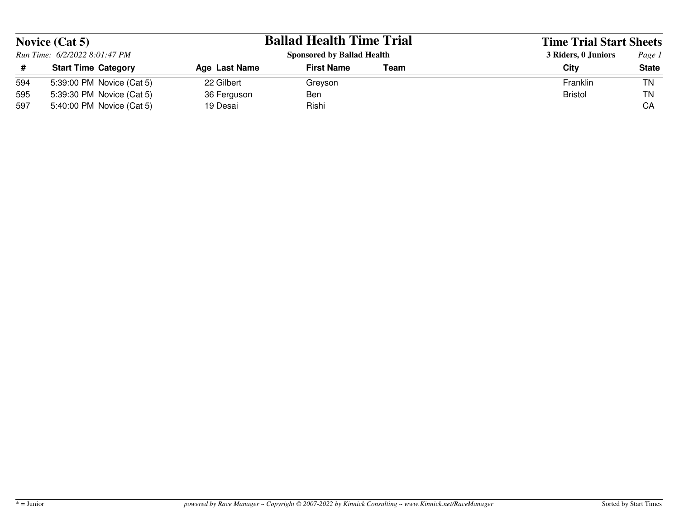| Novice $(Cat 5)$ |                               |               | <b>Ballad Health Time Trial</b>   |      | <b>Time Trial Start Sheets</b> |              |
|------------------|-------------------------------|---------------|-----------------------------------|------|--------------------------------|--------------|
|                  | Run Time: 6/2/2022 8:01:47 PM |               | <b>Sponsored by Ballad Health</b> |      | 3 Riders, 0 Juniors            | Page 1       |
|                  | <b>Start Time Category</b>    | Age Last Name | <b>First Name</b>                 | Team | City                           | <b>State</b> |
| 594              | 5:39:00 PM Novice (Cat 5)     | 22 Gilbert    | Grevson                           |      | Franklin                       | TN           |
| 595              | 5:39:30 PM Novice (Cat 5)     | 36 Ferguson   | <b>Ben</b>                        |      | Bristol                        | <b>TN</b>    |
| 597              | 5:40:00 PM Novice (Cat 5)     | 19 Desai      | Rishi                             |      |                                | СA           |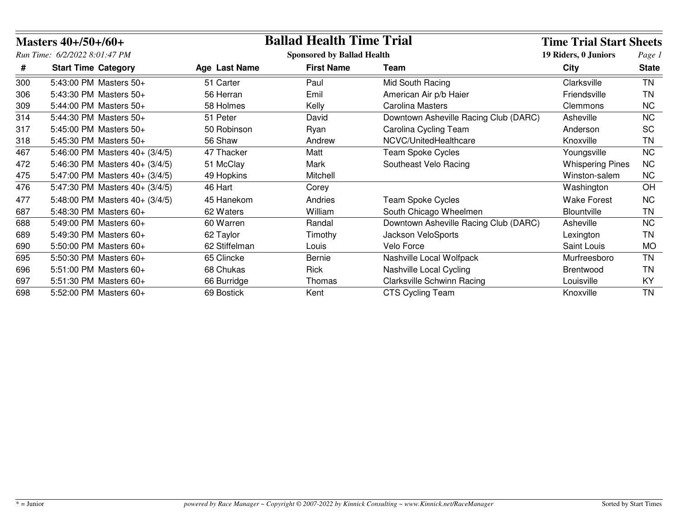|     | Masters $40+/50+/60+$          |                                   | <b>Ballad Health Time Trial</b> |                                       | <b>Time Trial Start Sheets</b> |              |
|-----|--------------------------------|-----------------------------------|---------------------------------|---------------------------------------|--------------------------------|--------------|
|     | Run Time: 6/2/2022 8:01:47 PM  | <b>Sponsored by Ballad Health</b> |                                 |                                       | 19 Riders, 0 Juniors           | Page 1       |
| #   | <b>Start Time Category</b>     | Age Last Name                     | <b>First Name</b>               | Team                                  | <b>City</b>                    | <b>State</b> |
| 300 | 5:43:00 PM Masters 50+         | 51 Carter                         | Paul                            | Mid South Racing                      | Clarksville                    | <b>TN</b>    |
| 306 | 5:43:30 PM Masters 50+         | 56 Herran                         | Emil                            | American Air p/b Haier                | Friendsville                   | TN           |
| 309 | 5:44:00 PM Masters 50+         | 58 Holmes                         | Kelly                           | <b>Carolina Masters</b>               | Clemmons                       | NC.          |
| 314 | 5:44:30 PM Masters 50+         | 51 Peter                          | David                           | Downtown Asheville Racing Club (DARC) | Asheville                      | <b>NC</b>    |
| 317 | 5:45:00 PM Masters 50+         | 50 Robinson                       | Ryan                            | Carolina Cycling Team                 | Anderson                       | <b>SC</b>    |
| 318 | 5:45:30 PM Masters 50+         | 56 Shaw                           | Andrew                          | NCVC/UnitedHealthcare                 | Knoxville                      | TN           |
| 467 | 5:46:00 PM Masters 40+ (3/4/5) | 47 Thacker                        | Matt                            | <b>Team Spoke Cycles</b>              | Youngsville                    | <b>NC</b>    |
| 472 | 5:46:30 PM Masters 40+ (3/4/5) | 51 McClay                         | Mark                            | Southeast Velo Racing                 | <b>Whispering Pines</b>        | <b>NC</b>    |
| 475 | 5:47:00 PM Masters 40+ (3/4/5) | 49 Hopkins                        | Mitchell                        |                                       | Winston-salem                  | <b>NC</b>    |
| 476 | 5:47:30 PM Masters 40+ (3/4/5) | 46 Hart                           | Corey                           |                                       | Washington                     | OH           |
| 477 | 5:48:00 PM Masters 40+ (3/4/5) | 45 Hanekom                        | Andries                         | <b>Team Spoke Cycles</b>              | <b>Wake Forest</b>             | <b>NC</b>    |
| 687 | 5:48:30 PM Masters 60+         | 62 Waters                         | William                         | South Chicago Wheelmen                | Blountville                    | <b>TN</b>    |
| 688 | 5:49:00 PM Masters 60+         | 60 Warren                         | Randal                          | Downtown Asheville Racing Club (DARC) | Asheville                      | <b>NC</b>    |
| 689 | 5:49:30 PM Masters 60+         | 62 Taylor                         | Timothy                         | Jackson VeloSports                    | Lexington                      | ΤN           |
| 690 | 5:50:00 PM Masters 60+         | 62 Stiffelman                     | Louis                           | Velo Force                            | Saint Louis                    | <b>MO</b>    |
| 695 | 5:50:30 PM Masters 60+         | 65 Clincke                        | Bernie                          | Nashville Local Wolfpack              | Murfreesboro                   | <b>TN</b>    |
| 696 | 5:51:00 PM Masters 60+         | 68 Chukas                         | Rick                            | Nashville Local Cycling               | Brentwood                      | TN           |
| 697 | 5:51:30 PM Masters 60+         | 66 Burridge                       | Thomas                          | <b>Clarksville Schwinn Racing</b>     | Louisville                     | KY           |
| 698 | 5:52:00 PM Masters 60+         | 69 Bostick                        | Kent                            | CTS Cycling Team                      | Knoxville                      | <b>TN</b>    |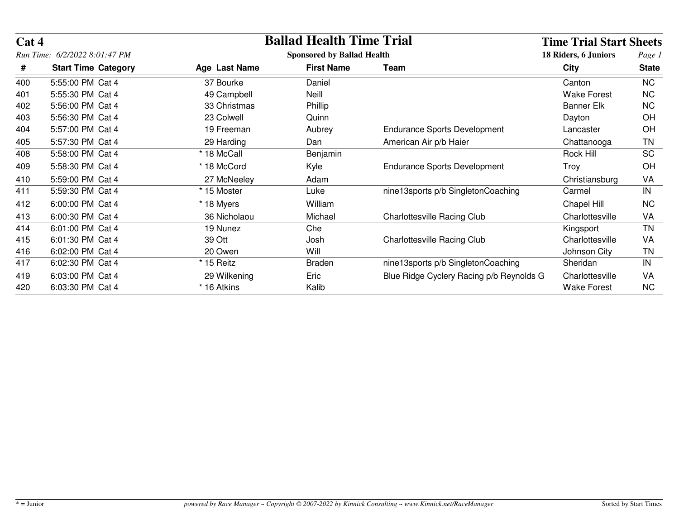| Cat 4 |                               |               | <b>Ballad Health Time Trial</b>   |                                          | <b>Time Trial Start Sheets</b> |              |
|-------|-------------------------------|---------------|-----------------------------------|------------------------------------------|--------------------------------|--------------|
|       | Run Time: 6/2/2022 8:01:47 PM |               | <b>Sponsored by Ballad Health</b> | 18 Riders, 6 Juniors                     | Page 1                         |              |
| #     | <b>Start Time Category</b>    | Age Last Name | <b>First Name</b>                 | Team                                     | <b>City</b>                    | <b>State</b> |
| 400   | 5:55:00 PM Cat 4              | 37 Bourke     | Daniel                            |                                          | Canton                         | <b>NC</b>    |
| 401   | 5:55:30 PM Cat 4              | 49 Campbell   | Neill                             |                                          | <b>Wake Forest</b>             | <b>NC</b>    |
| 402   | 5:56:00 PM Cat 4              | 33 Christmas  | Phillip                           |                                          | <b>Banner Elk</b>              | <b>NC</b>    |
| 403   | 5:56:30 PM Cat 4              | 23 Colwell    | Quinn                             |                                          | Dayton                         | OH           |
| 404   | 5:57:00 PM Cat 4              | 19 Freeman    | Aubrey                            | <b>Endurance Sports Development</b>      | Lancaster                      | <b>OH</b>    |
| 405   | 5:57:30 PM Cat 4              | 29 Harding    | Dan                               | American Air p/b Haier                   | Chattanooga                    | TN           |
| 408   | 5:58:00 PM Cat 4              | * 18 McCall   | Benjamin                          |                                          | Rock Hill                      | <b>SC</b>    |
| 409   | 5:58:30 PM Cat 4              | * 18 McCord   | Kyle                              | <b>Endurance Sports Development</b>      | Troy                           | OH           |
| 410   | 5:59:00 PM Cat 4              | 27 McNeeley   | Adam                              |                                          | Christiansburg                 | VA           |
| 411   | 5:59:30 PM Cat 4              | * 15 Moster   | Luke                              | nine13sports p/b SingletonCoaching       | Carmel                         | IN           |
| 412   | 6:00:00 PM Cat 4              | * 18 Myers    | William                           |                                          | Chapel Hill                    | <b>NC</b>    |
| 413   | 6:00:30 PM Cat 4              | 36 Nicholaou  | Michael                           | Charlottesville Racing Club              | Charlottesville                | <b>VA</b>    |
| 414   | 6:01:00 PM Cat 4              | 19 Nunez      | Che                               |                                          | Kingsport                      | <b>TN</b>    |
| 415   | 6:01:30 PM Cat 4              | 39 Ott        | Josh                              | <b>Charlottesville Racing Club</b>       | Charlottesville                | VA           |
| 416   | 6:02:00 PM Cat 4              | 20 Owen       | Will                              |                                          | Johnson City                   | TN           |
| 417   | 6:02:30 PM Cat 4              | * 15 Reitz    | <b>Braden</b>                     | nine13sports p/b SingletonCoaching       | Sheridan                       | IN           |
| 419   | 6:03:00 PM Cat 4              | 29 Wilkening  | Eric                              | Blue Ridge Cyclery Racing p/b Reynolds G | Charlottesville                | VA           |
| 420   | 6:03:30 PM Cat 4              | * 16 Atkins   | Kalib                             |                                          | <b>Wake Forest</b>             | <b>NC</b>    |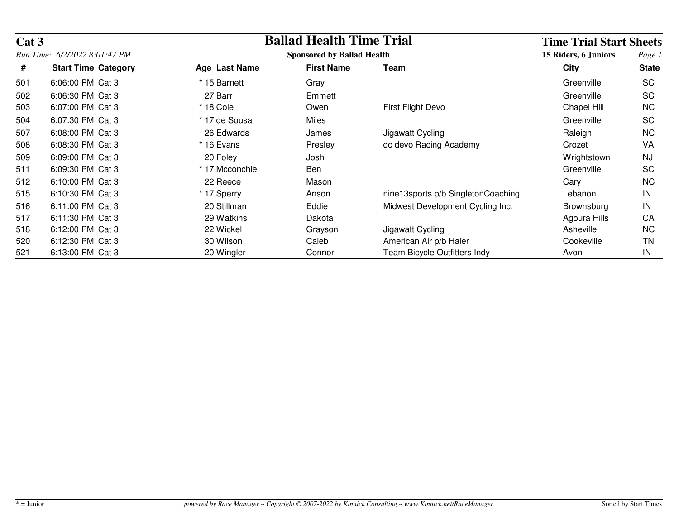| Cat 3 |                               |                | <b>Ballad Health Time Trial</b><br><b>Sponsored by Ballad Health</b> |                                    |                   |              |
|-------|-------------------------------|----------------|----------------------------------------------------------------------|------------------------------------|-------------------|--------------|
|       | Run Time: 6/2/2022 8:01:47 PM |                |                                                                      |                                    |                   |              |
| #     | <b>Start Time Category</b>    | Age Last Name  | <b>First Name</b>                                                    | Team                               | City              | <b>State</b> |
| 501   | 6:06:00 PM Cat 3              | * 15 Barnett   | Gray                                                                 |                                    | Greenville        | <b>SC</b>    |
| 502   | 6:06:30 PM Cat 3              | 27 Barr        | Emmett                                                               |                                    | Greenville        | <b>SC</b>    |
| 503   | 6:07:00 PM Cat 3              | $*$ 18 Cole    | Owen                                                                 | First Flight Devo                  | Chapel Hill       | <b>NC</b>    |
| 504   | 6:07:30 PM Cat 3              | * 17 de Sousa  | Miles                                                                |                                    | Greenville        | <b>SC</b>    |
| 507   | 6:08:00 PM Cat 3              | 26 Edwards     | James                                                                | Jigawatt Cycling                   | Raleigh           | <b>NC</b>    |
| 508   | 6:08:30 PM Cat 3              | * 16 Evans     | Presley                                                              | dc devo Racing Academy             | Crozet            | <b>VA</b>    |
| 509   | 6:09:00 PM Cat 3              | 20 Foley       | Josh                                                                 |                                    | Wrightstown       | <b>NJ</b>    |
| 511   | 6:09:30 PM Cat 3              | * 17 Mcconchie | Ben                                                                  |                                    | Greenville        | <b>SC</b>    |
| 512   | 6:10:00 PM Cat 3              | 22 Reece       | Mason                                                                |                                    | Cary              | <b>NC</b>    |
| 515   | 6:10:30 PM Cat 3              | * 17 Sperry    | Anson                                                                | nine13sports p/b SingletonCoaching | Lebanon           | IN           |
| 516   | 6:11:00 PM Cat 3              | 20 Stillman    | Eddie                                                                | Midwest Development Cycling Inc.   | <b>Brownsburg</b> | IN           |
| 517   | 6:11:30 PM Cat 3              | 29 Watkins     | Dakota                                                               |                                    | Agoura Hills      | CA           |
| 518   | 6:12:00 PM Cat 3              | 22 Wickel      | Grayson                                                              | Jigawatt Cycling                   | Asheville         | <b>NC</b>    |
| 520   | 6:12:30 PM Cat 3              | 30 Wilson      | Caleb                                                                | American Air p/b Haier             | Cookeville        | TN.          |
| 521   | 6:13:00 PM Cat 3              | 20 Wingler     | Connor                                                               | Team Bicycle Outfitters Indy       | Avon              | IN           |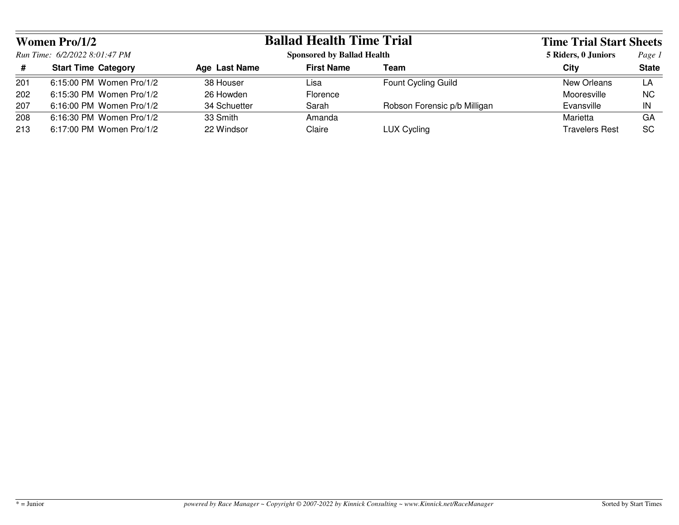| <b>Women Pro/1/2</b><br>Run Time: 6/2/2022 8:01:47 PM |                            | <b>Ballad Health Time Trial</b> |                                   |                              | <b>Time Trial Start Sheets</b> |              |
|-------------------------------------------------------|----------------------------|---------------------------------|-----------------------------------|------------------------------|--------------------------------|--------------|
|                                                       |                            |                                 | <b>Sponsored by Ballad Health</b> |                              | 5 Riders, 0 Juniors            | Page 1       |
| #                                                     | <b>Start Time Category</b> | Age Last Name                   | <b>First Name</b>                 | Team                         | City                           | <b>State</b> |
| 201                                                   | 6:15:00 PM Women Pro/1/2   | 38 Houser                       | Lisa                              | <b>Fount Cycling Guild</b>   | New Orleans                    | LA           |
| 202                                                   | 6:15:30 PM Women Pro/1/2   | 26 Howden                       | Florence                          |                              | Mooresville                    | <b>NC</b>    |
| 207                                                   | 6:16:00 PM Women Pro/1/2   | 34 Schuetter                    | Sarah                             | Robson Forensic p/b Milligan | Evansville                     | IN           |
| 208                                                   | 6:16:30 PM Women Pro/1/2   | 33 Smith                        | Amanda                            |                              | Marietta                       | GA           |
| 213                                                   | 6:17:00 PM Women Pro/1/2   | 22 Windsor                      | Claire                            | LUX Cycling                  | <b>Travelers Rest</b>          | <b>SC</b>    |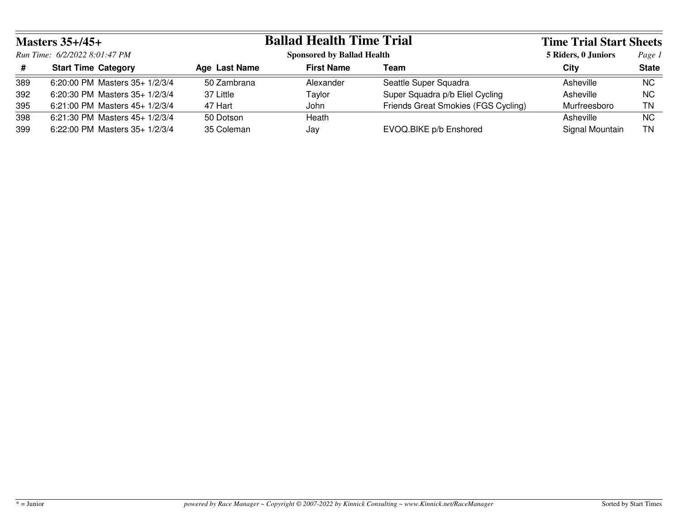| Masters $35+/45+$<br>Run Time: 6/2/2022 8:01:47 PM |                                 | <b>Ballad Health Time Trial</b> |                                   |                                     | <b>Time Trial Start Sheets</b> |              |
|----------------------------------------------------|---------------------------------|---------------------------------|-----------------------------------|-------------------------------------|--------------------------------|--------------|
|                                                    |                                 |                                 | <b>Sponsored by Ballad Health</b> |                                     | 5 Riders, 0 Juniors            | Page 1       |
| #                                                  | <b>Start Time Category</b>      | Age Last Name                   | <b>First Name</b>                 | Team                                | City                           | <b>State</b> |
| 389                                                | 6:20:00 PM Masters 35+ 1/2/3/4  | 50 Zambrana                     | Alexander                         | Seattle Super Squadra               | Asheville                      | <b>NC</b>    |
| 392                                                | 6:20:30 PM Masters 35+ 1/2/3/4  | 37 Little                       | Taylor                            | Super Squadra p/b Eliel Cycling     | Asheville                      | <b>NC</b>    |
| 395                                                | 6:21:00 PM Masters $45+1/2/3/4$ | 47 Hart                         | John                              | Friends Great Smokies (FGS Cycling) | Murfreesboro                   | ΤN           |
| 398                                                | 6:21:30 PM Masters 45+ 1/2/3/4  | 50 Dotson                       | Heath                             |                                     | Asheville                      | <b>NC</b>    |
| 399                                                | 6:22:00 PM Masters 35+ 1/2/3/4  | 35 Coleman                      | Jay                               | EVOQ.BIKE p/b Enshored              | Signal Mountain                | ΤN           |